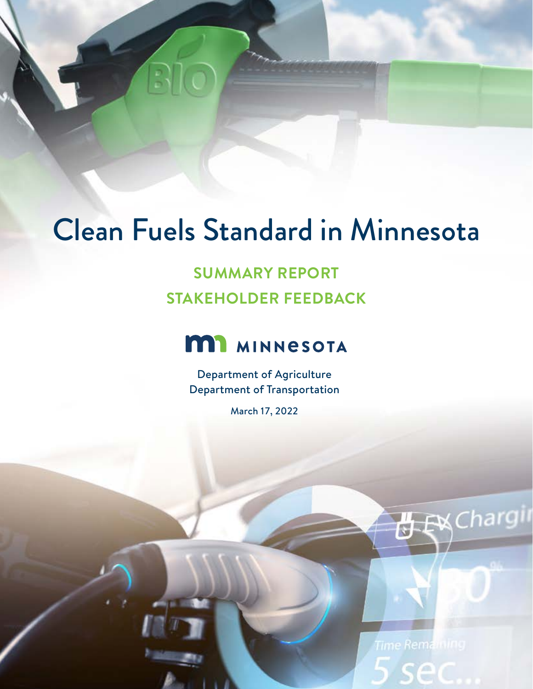# Clean Fuels Standard in Minnesota

## **SUMMARY REPORT STAKEHOLDER FEEDBACK**

## **MI** MINNESOTA

Department of Agriculture Department of Transportation

March 17, 2022

Time Remaining ec

**丹 EX** Chargin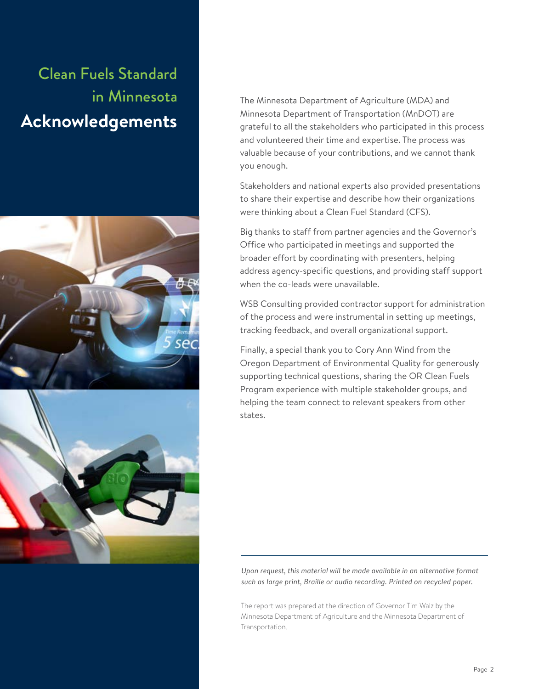## Clean Fuels Standard in Minnesota **Acknowledgements**





The Minnesota Department of Agriculture (MDA) and Minnesota Department of Transportation (MnDOT) are grateful to all the stakeholders who participated in this process and volunteered their time and expertise. The process was valuable because of your contributions, and we cannot thank you enough.

Stakeholders and national experts also provided presentations to share their expertise and describe how their organizations were thinking about a Clean Fuel Standard (CFS).

Big thanks to staff from partner agencies and the Governor's Office who participated in meetings and supported the broader effort by coordinating with presenters, helping address agency-specific questions, and providing staff support when the co-leads were unavailable.

WSB Consulting provided contractor support for administration of the process and were instrumental in setting up meetings, tracking feedback, and overall organizational support.

Finally, a special thank you to Cory Ann Wind from the Oregon Department of Environmental Quality for generously supporting technical questions, sharing the OR Clean Fuels Program experience with multiple stakeholder groups, and helping the team connect to relevant speakers from other states.

*Upon request, this material will be made available in an alternative format such as large print, Braille or audio recording. Printed on recycled paper.*

The report was prepared at the direction of Governor Tim Walz by the Minnesota Department of Agriculture and the Minnesota Department of Transportation.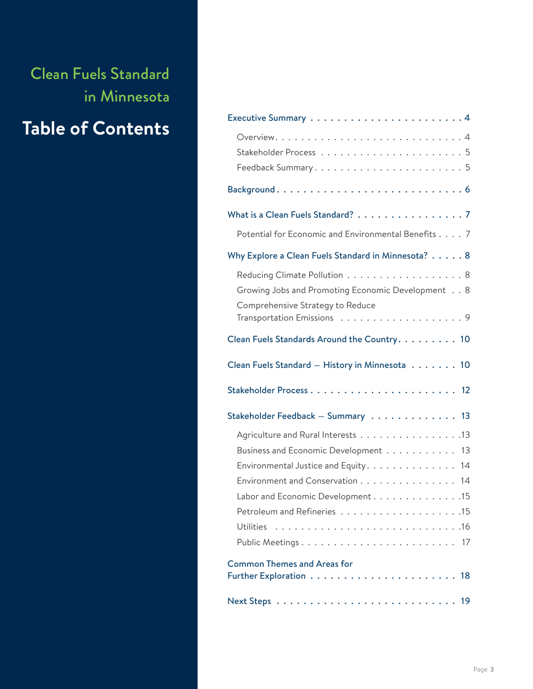Clean Fuels Standard in Minnesota

## **Table of Contents**

| What is a Clean Fuels Standard? 7                                                                                                                                                          |
|--------------------------------------------------------------------------------------------------------------------------------------------------------------------------------------------|
| Potential for Economic and Environmental Benefits 7                                                                                                                                        |
| Why Explore a Clean Fuels Standard in Minnesota? 8                                                                                                                                         |
| Reducing Climate Pollution 8<br>Growing Jobs and Promoting Economic Development 8<br>Comprehensive Strategy to Reduce                                                                      |
|                                                                                                                                                                                            |
| Clean Fuels Standards Around the Country. 10                                                                                                                                               |
| Clean Fuels Standard - History in Minnesota 10                                                                                                                                             |
|                                                                                                                                                                                            |
| Stakeholder Feedback - Summary 13                                                                                                                                                          |
| Agriculture and Rural Interests 13<br>Business and Economic Development 13<br>Environmental Justice and Equity. 14<br>Environment and Conservation 14<br>Labor and Economic Development 15 |
| Public Meetings 17                                                                                                                                                                         |
| <b>Common Themes and Areas for</b>                                                                                                                                                         |
|                                                                                                                                                                                            |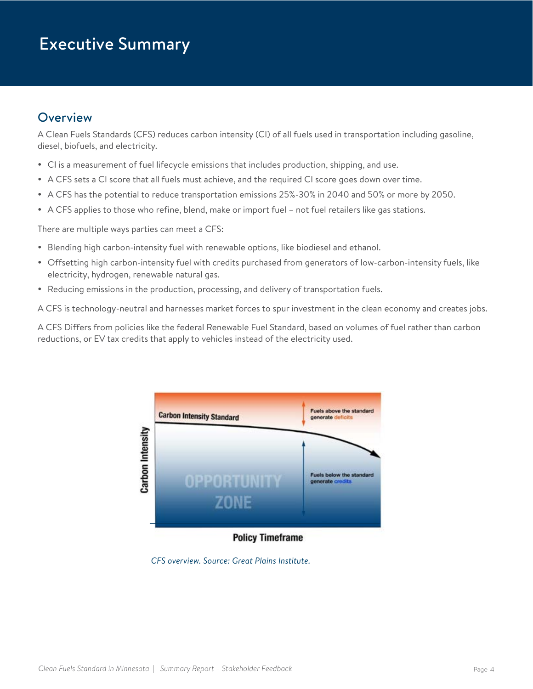## <span id="page-3-0"></span>Executive Summary

## **Overview**

A Clean Fuels Standards (CFS) reduces carbon intensity (CI) of all fuels used in transportation including gasoline, diesel, biofuels, and electricity.

- CI is a measurement of fuel lifecycle emissions that includes production, shipping, and use.
- A CFS sets a CI score that all fuels must achieve, and the required CI score goes down over time.
- A CFS has the potential to reduce transportation emissions 25%-30% in 2040 and 50% or more by 2050.
- A CFS applies to those who refine, blend, make or import fuel not fuel retailers like gas stations.

There are multiple ways parties can meet a CFS:

- Blending high carbon-intensity fuel with renewable options, like biodiesel and ethanol.
- Offsetting high carbon-intensity fuel with credits purchased from generators of low-carbon-intensity fuels, like electricity, hydrogen, renewable natural gas.
- Reducing emissions in the production, processing, and delivery of transportation fuels.

A CFS is technology-neutral and harnesses market forces to spur investment in the clean economy and creates jobs.

A CFS Differs from policies like the federal Renewable Fuel Standard, based on volumes of fuel rather than carbon reductions, or EV tax credits that apply to vehicles instead of the electricity used.



*CFS overview. Source: Great Plains Institute.*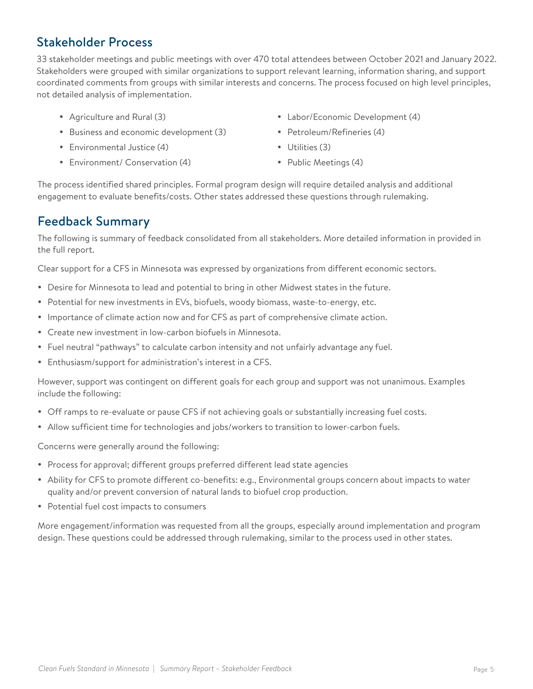## <span id="page-4-0"></span>Stakeholder Process

33 stakeholder meetings and public meetings with over 470 total attendees between October 2021 and January 2022. Stakeholders were grouped with similar organizations to support relevant learning, information sharing, and support coordinated comments from groups with similar interests and concerns. The process focused on high level principles, not detailed analysis of implementation.

- Agriculture and Rural (3)
- Business and economic development (3)
- Environmental Justice (4)
- Environment/ Conservation (4)
- Labor/Economic Development (4)
- Petroleum/Refineries (4)
- $\bullet$  Utilities (3)
- Public Meetings (4)

The process identified shared principles. Formal program design will require detailed analysis and additional engagement to evaluate benefits/costs. Other states addressed these questions through rulemaking.

## Feedback Summary

The following is summary of feedback consolidated from all stakeholders. More detailed information in provided in the full report.

Clear support for a CFS in Minnesota was expressed by organizations from different economic sectors.

- Desire for Minnesota to lead and potential to bring in other Midwest states in the future.
- Potential for new investments in EVs, biofuels, woody biomass, waste-to-energy, etc.
- Importance of climate action now and for CFS as part of comprehensive climate action.
- Create new investment in low-carbon biofuels in Minnesota.
- Fuel neutral "pathways" to calculate carbon intensity and not unfairly advantage any fuel.
- Enthusiasm/support for administration's interest in a CFS.

However, support was contingent on different goals for each group and support was not unanimous. Examples include the following:

- Off ramps to re-evaluate or pause CFS if not achieving goals or substantially increasing fuel costs.
- Allow sufficient time for technologies and jobs/workers to transition to lower-carbon fuels.

Concerns were generally around the following:

- Process for approval; different groups preferred different lead state agencies
- Ability for CFS to promote different co-benefits: e.g., Environmental groups concern about impacts to water quality and/or prevent conversion of natural lands to biofuel crop production.
- Potential fuel cost impacts to consumers

More engagement/information was requested from all the groups, especially around implementation and program design. These questions could be addressed through rulemaking, similar to the process used in other states.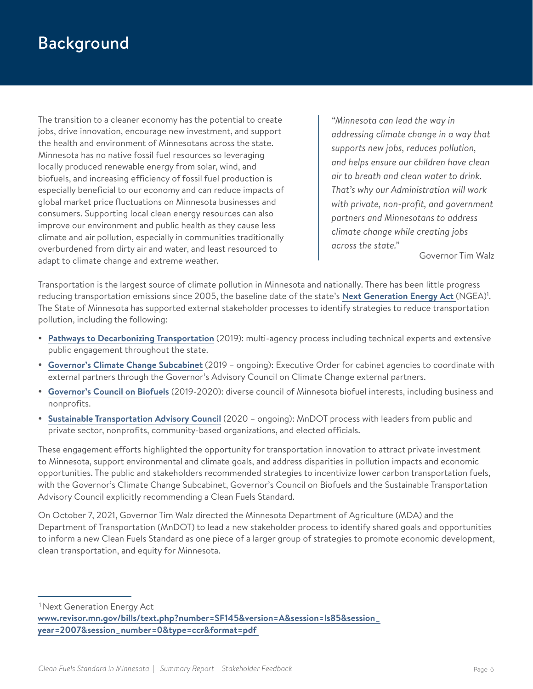## <span id="page-5-0"></span>Background

The transition to a cleaner economy has the potential to create jobs, drive innovation, encourage new investment, and support the health and environment of Minnesotans across the state. Minnesota has no native fossil fuel resources so leveraging locally produced renewable energy from solar, wind, and biofuels, and increasing efficiency of fossil fuel production is especially beneficial to our economy and can reduce impacts of global market price fluctuations on Minnesota businesses and consumers. Supporting local clean energy resources can also improve our environment and public health as they cause less climate and air pollution, especially in communities traditionally overburdened from dirty air and water, and least resourced to adapt to climate change and extreme weather.

*"Minnesota can lead the way in addressing climate change in a way that supports new jobs, reduces pollution, and helps ensure our children have clean air to breath and clean water to drink. That's why our Administration will work with private, non-profit, and government partners and Minnesotans to address climate change while creating jobs across the state."*

Governor Tim Walz

Transportation is the largest source of climate pollution in Minnesota and nationally. There has been little progress reducing transportation emissions since 2005, the baseline date of the state's **[Next Generation Energy Act](https://www.revisor.mn.gov/bills/text.php?number=SF145&version=A&session=ls85&session_year=2007&session_number=0&type=ccr&format=pdf)** (NGEA)<sup>1</sup>. The State of Minnesota has supported external stakeholder processes to identify strategies to reduce transportation pollution, including the following:

- **[Pathways to Decarbonizing Transportation](https://www.dot.state.mn.us/sustainability/pathways.html)** (2019): multi-agency process including technical experts and extensive public engagement throughout the state.
- y **[Governor's Climate Change Subcabinet](https://mn.gov/governor/assets/2019_12_2_EO_19-37_Climate_tcm1055-412094.pdf)** (2019 ongoing): Executive Order for cabinet agencies to coordinate with external partners through the Governor's Advisory Council on Climate Change external partners.
- y **[Governor's Council on Biofuels](https://www.mda.state.mn.us/environment-sustainability/governors-council-biofuels)** (2019-2020): diverse council of Minnesota biofuel interests, including business and nonprofits.
- **[Sustainable Transportation Advisory Council](https://www.dot.state.mn.us/sustainability/advisory-council.html)** (2020 ongoing): MnDOT process with leaders from public and private sector, nonprofits, community-based organizations, and elected officials.

These engagement efforts highlighted the opportunity for transportation innovation to attract private investment to Minnesota, support environmental and climate goals, and address disparities in pollution impacts and economic opportunities. The public and stakeholders recommended strategies to incentivize lower carbon transportation fuels, with the Governor's Climate Change Subcabinet, Governor's Council on Biofuels and the Sustainable Transportation Advisory Council explicitly recommending a Clean Fuels Standard.

On October 7, 2021, Governor Tim Walz directed the Minnesota Department of Agriculture (MDA) and the Department of Transportation (MnDOT) to lead a new stakeholder process to identify shared goals and opportunities to inform a new Clean Fuels Standard as one piece of a larger group of strategies to promote economic development, clean transportation, and equity for Minnesota.

1 Next Generation Energy Act

**[www.revisor.mn.gov/bills/text.php?number=SF145&version=A&session=ls85&session\\_](http://www.revisor.mn.gov/bills/text.php?number=SF145&version=A&session=ls85&session_year=2007&session_numb) [year=2007&session\\_number=0&type=ccr&format=pdf](http://www.revisor.mn.gov/bills/text.php?number=SF145&version=A&session=ls85&session_year=2007&session_numb)**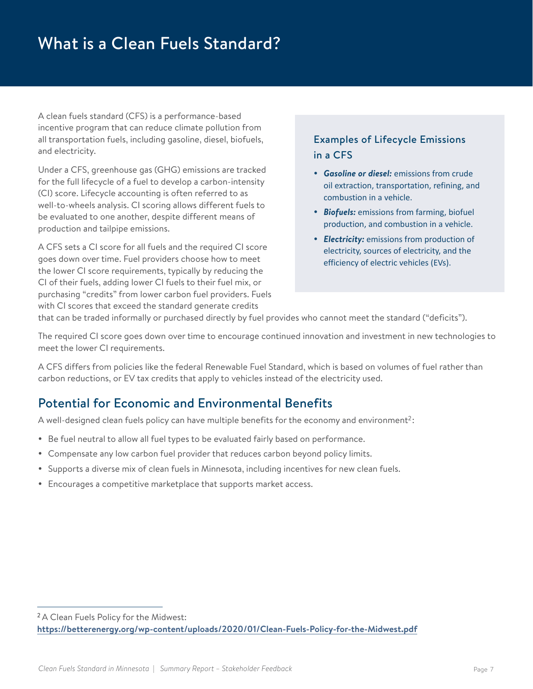## <span id="page-6-0"></span>What is a Clean Fuels Standard?

A clean fuels standard (CFS) is a performance-based incentive program that can reduce climate pollution from all transportation fuels, including gasoline, diesel, biofuels, and electricity.

Under a CFS, greenhouse gas (GHG) emissions are tracked for the full lifecycle of a fuel to develop a carbon-intensity (CI) score. Lifecycle accounting is often referred to as well-to-wheels analysis. CI scoring allows different fuels to be evaluated to one another, despite different means of production and tailpipe emissions.

A CFS sets a CI score for all fuels and the required CI score goes down over time. Fuel providers choose how to meet the lower CI score requirements, typically by reducing the CI of their fuels, adding lower CI fuels to their fuel mix, or purchasing "credits" from lower carbon fuel providers. Fuels with CI scores that exceed the standard generate credits

### Examples of Lifecycle Emissions in a CFS

- **Gasoline or diesel:** emissions from crude oil extraction, transportation, refining, and combustion in a vehicle.
- **Biofuels:** emissions from farming, biofuel production, and combustion in a vehicle.
- **Electricity:** emissions from production of electricity, sources of electricity, and the efficiency of electric vehicles (EVs).

that can be traded informally or purchased directly by fuel provides who cannot meet the standard ("deficits").

The required CI score goes down over time to encourage continued innovation and investment in new technologies to meet the lower CI requirements.

A CFS differs from policies like the federal Renewable Fuel Standard, which is based on volumes of fuel rather than carbon reductions, or EV tax credits that apply to vehicles instead of the electricity used.

## Potential for Economic and Environmental Benefits

A well-designed clean fuels policy can have multiple benefits for the economy and environment<sup>2</sup>:

- Be fuel neutral to allow all fuel types to be evaluated fairly based on performance.
- Compensate any low carbon fuel provider that reduces carbon beyond policy limits.
- Supports a diverse mix of clean fuels in Minnesota, including incentives for new clean fuels.
- Encourages a competitive marketplace that supports market access.

<sup>&</sup>lt;sup>2</sup> A Clean Fuels Policy for the Midwest: **<https://betterenergy.org/wp-content/uploads/2020/01/Clean-Fuels-Policy-for-the-Midwest.pdf>**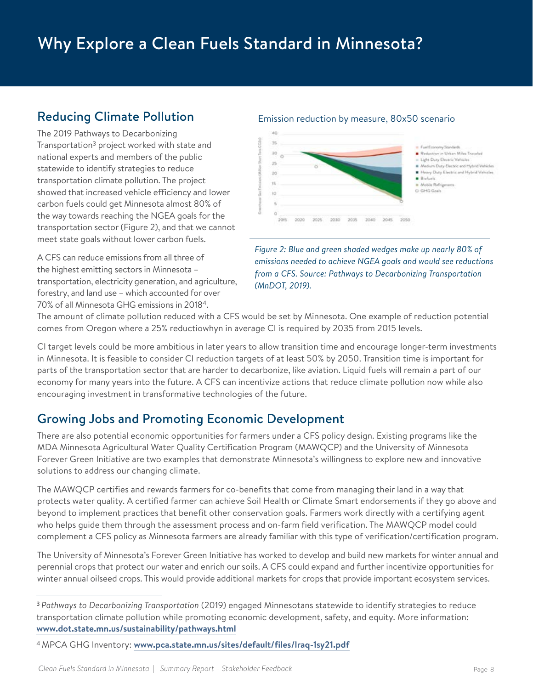## <span id="page-7-0"></span>Why Explore a Clean Fuels Standard in Minnesota?

## Reducing Climate Pollution

The 2019 Pathways to Decarbonizing Transportation3 project worked with state and national experts and members of the public statewide to identify strategies to reduce transportation climate pollution. The project showed that increased vehicle efficiency and lower carbon fuels could get Minnesota almost 80% of the way towards reaching the NGEA goals for the transportation sector (Figure 2), and that we cannot meet state goals without lower carbon fuels.

A CFS can reduce emissions from all three of the highest emitting sectors in Minnesota – transportation, electricity generation, and agriculture, forestry, and land use – which accounted for over 70% of all Minnesota GHG emissions in 20184.

#### Emission reduction by measure, 80x50 scenario



*Figure 2: Blue and green shaded wedges make up nearly 80% of emissions needed to achieve NGEA goals and would see reductions from a CFS. Source: Pathways to Decarbonizing Transportation (MnDOT, 2019).*

The amount of climate pollution reduced with a CFS would be set by Minnesota. One example of reduction potential comes from Oregon where a 25% reductiowhyn in average CI is required by 2035 from 2015 levels.

CI target levels could be more ambitious in later years to allow transition time and encourage longer-term investments in Minnesota. It is feasible to consider CI reduction targets of at least 50% by 2050. Transition time is important for parts of the transportation sector that are harder to decarbonize, like aviation. Liquid fuels will remain a part of our economy for many years into the future. A CFS can incentivize actions that reduce climate pollution now while also encouraging investment in transformative technologies of the future.

## Growing Jobs and Promoting Economic Development

There are also potential economic opportunities for farmers under a CFS policy design. Existing programs like the MDA [Minnesota Agricultural Water Quality Certification Program \(MAWQCP](https://www.mda.state.mn.us/environment-sustainability/minnesota-agricultural-water-quality-certification-program)) and the University of Minnesota Forever Green Initiative are two examples that demonstrate Minnesota's willingness to explore new and innovative solutions to address our changing climate.

The MAWQCP certifies and rewards farmers for co-benefits that come from managing their land in a way that protects water quality. A certified farmer can achieve Soil Health or Climate Smart endorsements if they go above and beyond to implement practices that benefit other conservation goals. Farmers work directly with a certifying agent who helps guide them through the assessment process and on-farm field verification. The MAWQCP model could complement a CFS policy as Minnesota farmers are already familiar with this type of verification/certification program.

[The University of Minnesota's Forever Green Initiative](https://forevergreen.umn.edu/) has worked to develop and build new markets for winter annual and perennial crops that protect our water and enrich our soils. A CFS could expand and further incentivize opportunities for winter annual oilseed crops. This would provide additional markets for crops that provide important ecosystem services.

<sup>3</sup> *Pathways to Decarbonizing Transportation* (2019) engaged Minnesotans statewide to identify strategies to reduce transportation climate pollution while promoting economic development, safety, and equity. More information: **[www.dot.state.mn.us/sustainability/pathways.html](http://www.dot.state.mn.us/sustainability/pathways.html)**

<sup>4</sup> MPCA GHG Inventory: **[www.pca.state.mn.us/sites/default/files/lraq-1sy21.pdf](http://www.pca.state.mn.us/sites/default/files/lraq-1sy21.pdf)**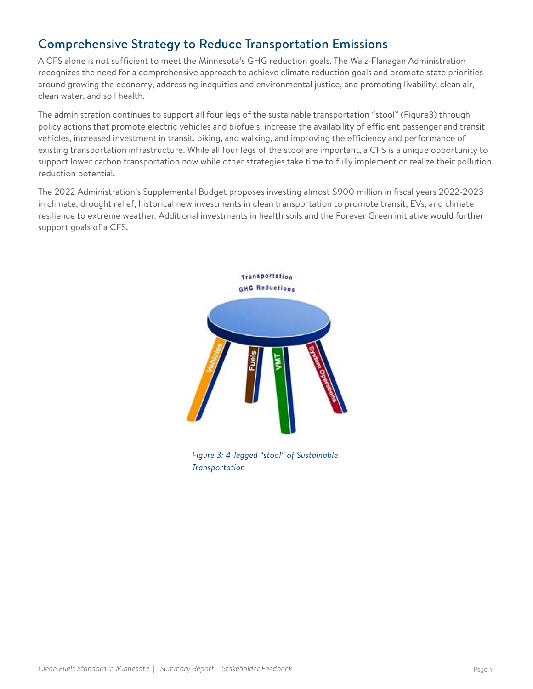## <span id="page-8-0"></span>Comprehensive Strategy to Reduce Transportation Emissions

A CFS alone is not sufficient to meet the Minnesota's GHG reduction goals. The Walz-Flanagan Administration recognizes the need for a comprehensive approach to achieve climate reduction goals and promote state priorities around growing the economy, addressing inequities and environmental justice, and promoting livability, clean air, clean water, and soil health.

The administration continues to support all four legs of the sustainable transportation "stool" (Figure3) through policy actions that promote electric vehicles and biofuels, increase the availability of efficient passenger and transit vehicles, increased investment in transit, biking, and walking, and improving the efficiency and performance of existing transportation infrastructure. While all four legs of the stool are important, a CFS is a unique opportunity to support lower carbon transportation now while other strategies take time to fully implement or realize their pollution reduction potential.

The 2022 Administration's Supplemental Budget proposes investing almost \$900 million in fiscal years 2022-2023 in climate, drought relief, historical new investments in clean transportation to promote transit, EVs, and climate resilience to extreme weather. Additional investments in health soils and the Forever Green initiative would further support goals of a CFS.



*Figure 3: 4-legged "stool" of Sustainable Transportation*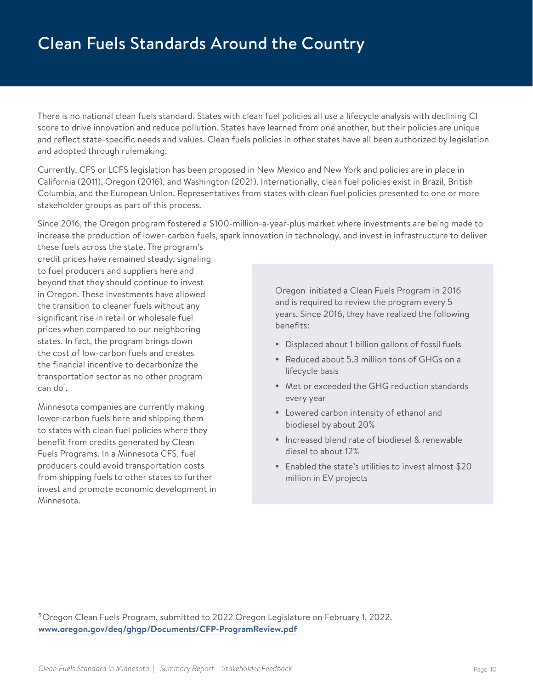<span id="page-9-0"></span>There is no national clean fuels standard. States with clean fuel policies all use a lifecycle analysis with declining CI score to drive innovation and reduce pollution. States have learned from one another, but their policies are unique and reflect state-specific needs and values. Clean fuels policies in other states have all been authorized by legislation and adopted through rulemaking.

Currently, CFS or LCFS legislation has been proposed in New Mexico and New York and policies are in place in California (2011), Oregon (2016), and Washington (2021). Internationally, clean fuel policies exist in Brazil, British Columbia, and the European Union. Representatives from states with clean fuel policies presented to one or more stakeholder groups as part of this process.

Since 2016, the Oregon program fostered a \$100-million-a-year-plus market where investments are being made to increase the production of lower-carbon fuels, spark innovation in technology, and invest in infrastructure to deliver

these fuels across the state. The program's credit prices have remained steady, signaling to fuel producers and suppliers here and beyond that they should continue to invest in Oregon. These investments have allowed the transition to cleaner fuels without any significant rise in retail or wholesale fuel prices when compared to our neighboring states. In fact, the program brings down the cost of low-carbon fuels and creates the financial incentive to decarbonize the transportation sector as no other program  $\mathsf{can} \ \mathsf{do}^\mathsf{s}.$ 

Minnesota companies are currently making lower-carbon fuels here and shipping them to states with clean fuel policies where they benefit from credits generated by Clean Fuels Programs. In a Minnesota CFS, fuel producers could avoid transportation costs from shipping fuels to other states to further invest and promote economic development in Minnesota.

Oregon initiated a Clean Fuels Program in 2016 and is required to review the program every 5 years. Since 2016, they have realized the following benefits:

- Displaced about 1 billion gallons of fossil fuels
- Reduced about 5.3 million tons of GHGs on a lifecycle basis
- Met or exceeded the GHG reduction standards every year
- Lowered carbon intensity of ethanol and biodiesel by about 20%
- Increased blend rate of biodiesel & renewable diesel to about 12%
- Enabled the state's utilities to invest almost \$20 million in EV projects

<sup>5</sup>Oregon Clean Fuels Program, submitted to 2022 Oregon Legislature on February 1, 2022. **[www.oregon.gov/deq/ghgp/Documents/CFP-ProgramReview.pdf](http://www.oregon.gov/deq/ghgp/Documents/CFP-ProgramReview.pdf)**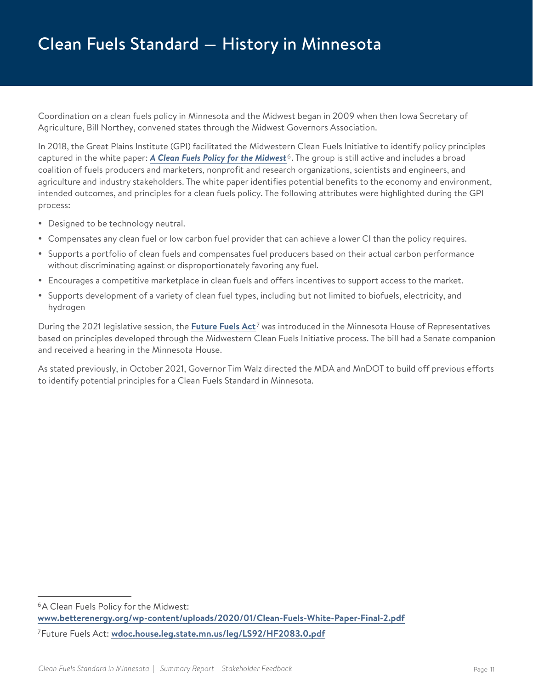Coordination on a clean fuels policy in Minnesota and the Midwest began in 2009 when then Iowa Secretary of Agriculture, Bill Northey, convened states through the Midwest Governors Association.

In 2018, the Great Plains Institute (GPI) facilitated the Midwestern Clean Fuels Initiative to identify policy principles captured in the white paper: *[A Clean Fuels Policy for the Midwest](https://www.betterenergy.org/wp-content/uploads/2020/01/Clean-Fuels-White-Paper-Final-2.pdf)* 6. The group is still active and includes a broad coalition of fuels producers and marketers, nonprofit and research organizations, scientists and engineers, and agriculture and industry stakeholders. The white paper identifies potential benefits to the economy and environment, intended outcomes, and principles for a clean fuels policy. The following attributes were highlighted during the GPI process:

- Designed to be technology neutral.
- Compensates any clean fuel or low carbon fuel provider that can achieve a lower CI than the policy requires.
- Supports a portfolio of clean fuels and compensates fuel producers based on their actual carbon performance without discriminating against or disproportionately favoring any fuel.
- Encourages a competitive marketplace in clean fuels and offers incentives to support access to the market.
- Supports development of a variety of clean fuel types, including but not limited to biofuels, electricity, and hydrogen

During the 2021 legislative session, the **[Future Fuels Act](https://www.revisor.mn.gov/bills/text.php?number=HF2083&type=bill&version=0&session=ls92&session_year=2021&session_number=0)** 7 was introduced in the Minnesota House of Representatives based on principles developed through the Midwestern Clean Fuels Initiative process. The bill had a Senate companion and received a hearing in the Minnesota House.

As stated previously, in October 2021, Governor Tim Walz directed the MDA and MnDOT to build off previous efforts to identify potential principles for a Clean Fuels Standard in Minnesota.

<sup>6</sup>A Clean Fuels Policy for the Midwest: **[www.betterenergy.org/wp-content/uploads/2020/01/Clean-Fuels-White-Paper-Final-2.pdf](http://www.betterenergy.org/wp-content/uploads/2020/01/Clean-Fuels-White-Paper-Final-2.pdf)** 7Future Fuels Act: **[wdoc.house.leg.state.mn.us/leg/LS92/HF2083.0.pdf](http://wdoc.house.leg.state.mn.us/leg/LS92/HF2083.0.pdf)**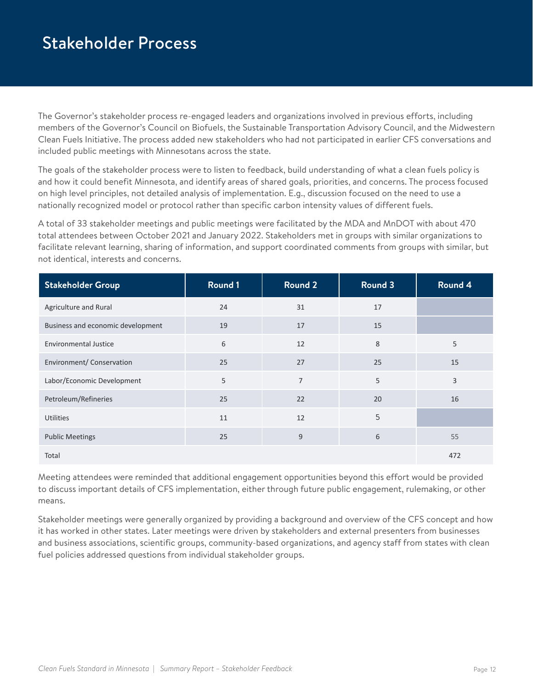## <span id="page-11-0"></span>Stakeholder Process

The Governor's stakeholder process re-engaged leaders and organizations involved in previous efforts, including members of the Governor's Council on Biofuels, the Sustainable Transportation Advisory Council, and the Midwestern Clean Fuels Initiative. The process added new stakeholders who had not participated in earlier CFS conversations and included public meetings with Minnesotans across the state.

The goals of the stakeholder process were to listen to feedback, build understanding of what a clean fuels policy is and how it could benefit Minnesota, and identify areas of shared goals, priorities, and concerns. The process focused on high level principles, not detailed analysis of implementation. E.g., discussion focused on the need to use a nationally recognized model or protocol rather than specific carbon intensity values of different fuels.

A total of 33 stakeholder meetings and public meetings were facilitated by the MDA and MnDOT with about 470 total attendees between October 2021 and January 2022. Stakeholders met in groups with similar organizations to facilitate relevant learning, sharing of information, and support coordinated comments from groups with similar, but not identical, interests and concerns.

| <b>Stakeholder Group</b>          | Round 1 | <b>Round 2</b> | <b>Round 3</b> | Round 4 |
|-----------------------------------|---------|----------------|----------------|---------|
| Agriculture and Rural             | 24      | 31             | 17             |         |
| Business and economic development | 19      | 17             | 15             |         |
| <b>Environmental Justice</b>      | 6       | 12             | 8              | 5       |
| Environment/ Conservation         | 25      | 27             | 25             | 15      |
| Labor/Economic Development        | 5       | $\overline{7}$ | 5              | 3       |
| Petroleum/Refineries              | 25      | 22             | 20             | 16      |
| <b>Utilities</b>                  | 11      | 12             | 5              |         |
| <b>Public Meetings</b>            | 25      | 9              | 6              | 55      |
| Total                             |         |                |                | 472     |

Meeting attendees were reminded that additional engagement opportunities beyond this effort would be provided to discuss important details of CFS implementation, either through future public engagement, rulemaking, or other means.

Stakeholder meetings were generally organized by providing a background and overview of the CFS concept and how it has worked in other states. Later meetings were driven by stakeholders and external presenters from businesses and business associations, scientific groups, community-based organizations, and agency staff from states with clean fuel policies addressed questions from individual stakeholder groups.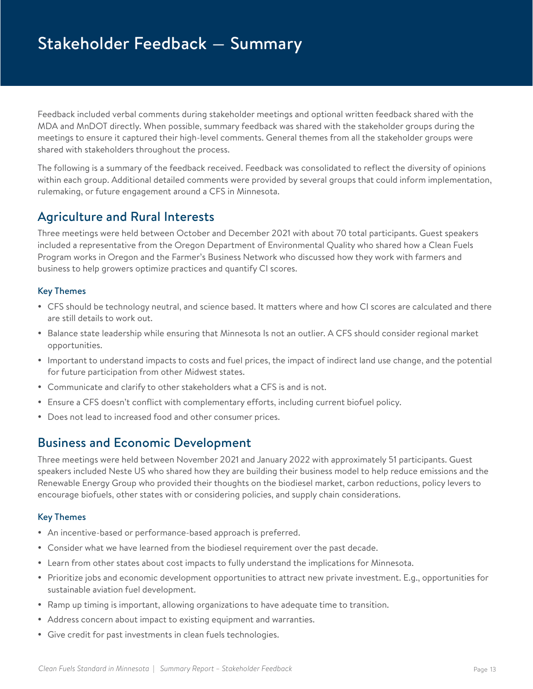<span id="page-12-0"></span>Feedback included verbal comments during stakeholder meetings and optional written feedback shared with the MDA and MnDOT directly. When possible, summary feedback was shared with the stakeholder groups during the meetings to ensure it captured their high-level comments. General themes from all the stakeholder groups were shared with stakeholders throughout the process.

The following is a summary of the feedback received. Feedback was consolidated to reflect the diversity of opinions within each group. Additional detailed comments were provided by several groups that could inform implementation, rulemaking, or future engagement around a CFS in Minnesota.

## Agriculture and Rural Interests

Three meetings were held between October and December 2021 with about 70 total participants. Guest speakers included a representative from the Oregon Department of Environmental Quality who shared how a Clean Fuels Program works in Oregon and the Farmer's Business Network who discussed how they work with farmers and business to help growers optimize practices and quantify CI scores.

### Key Themes

- CFS should be technology neutral, and science based. It matters where and how CI scores are calculated and there are still details to work out.
- Balance state leadership while ensuring that Minnesota Is not an outlier. A CFS should consider regional market opportunities.
- Important to understand impacts to costs and fuel prices, the impact of indirect land use change, and the potential for future participation from other Midwest states.
- Communicate and clarify to other stakeholders what a CFS is and is not.
- Ensure a CFS doesn't conflict with complementary efforts, including current biofuel policy.
- Does not lead to increased food and other consumer prices.

### Business and Economic Development

Three meetings were held between November 2021 and January 2022 with approximately 51 participants. Guest speakers included Neste US who shared how they are building their business model to help reduce emissions and the Renewable Energy Group who provided their thoughts on the biodiesel market, carbon reductions, policy levers to encourage biofuels, other states with or considering policies, and supply chain considerations.

#### Key Themes

- An incentive-based or performance-based approach is preferred.
- Consider what we have learned from the biodiesel requirement over the past decade.
- Learn from other states about cost impacts to fully understand the implications for Minnesota.
- Prioritize jobs and economic development opportunities to attract new private investment. E.g., opportunities for sustainable aviation fuel development.
- Ramp up timing is important, allowing organizations to have adequate time to transition.
- Address concern about impact to existing equipment and warranties.
- Give credit for past investments in clean fuels technologies.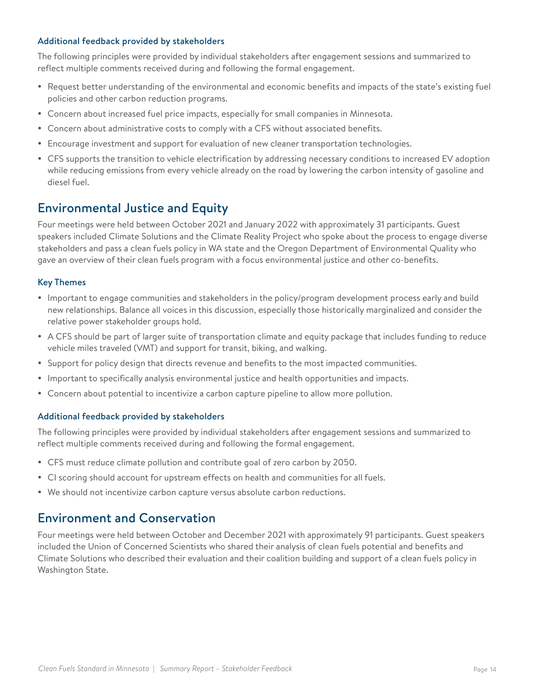#### <span id="page-13-0"></span>Additional feedback provided by stakeholders

The following principles were provided by individual stakeholders after engagement sessions and summarized to reflect multiple comments received during and following the formal engagement.

- Request better understanding of the environmental and economic benefits and impacts of the state's existing fuel policies and other carbon reduction programs.
- Concern about increased fuel price impacts, especially for small companies in Minnesota.
- Concern about administrative costs to comply with a CFS without associated benefits.
- Encourage investment and support for evaluation of new cleaner transportation technologies.
- CFS supports the transition to vehicle electrification by addressing necessary conditions to increased EV adoption while reducing emissions from every vehicle already on the road by lowering the carbon intensity of gasoline and diesel fuel.

### Environmental Justice and Equity

Four meetings were held between October 2021 and January 2022 with approximately 31 participants. Guest speakers included Climate Solutions and the Climate Reality Project who spoke about the process to engage diverse stakeholders and pass a clean fuels policy in WA state and the Oregon Department of Environmental Quality who gave an overview of their clean fuels program with a focus environmental justice and other co-benefits.

#### Key Themes

- Important to engage communities and stakeholders in the policy/program development process early and build new relationships. Balance all voices in this discussion, especially those historically marginalized and consider the relative power stakeholder groups hold.
- A CFS should be part of larger suite of transportation climate and equity package that includes funding to reduce vehicle miles traveled (VMT) and support for transit, biking, and walking.
- Support for policy design that directs revenue and benefits to the most impacted communities.
- Important to specifically analysis environmental justice and health opportunities and impacts.
- Concern about potential to incentivize a carbon capture pipeline to allow more pollution.

#### Additional feedback provided by stakeholders

The following principles were provided by individual stakeholders after engagement sessions and summarized to reflect multiple comments received during and following the formal engagement.

- CFS must reduce climate pollution and contribute goal of zero carbon by 2050.
- CI scoring should account for upstream effects on health and communities for all fuels.
- We should not incentivize carbon capture versus absolute carbon reductions.

### Environment and Conservation

Four meetings were held between October and December 2021 with approximately 91 participants. Guest speakers included the Union of Concerned Scientists who shared their analysis of clean fuels potential and benefits and Climate Solutions who described their evaluation and their coalition building and support of a clean fuels policy in Washington State.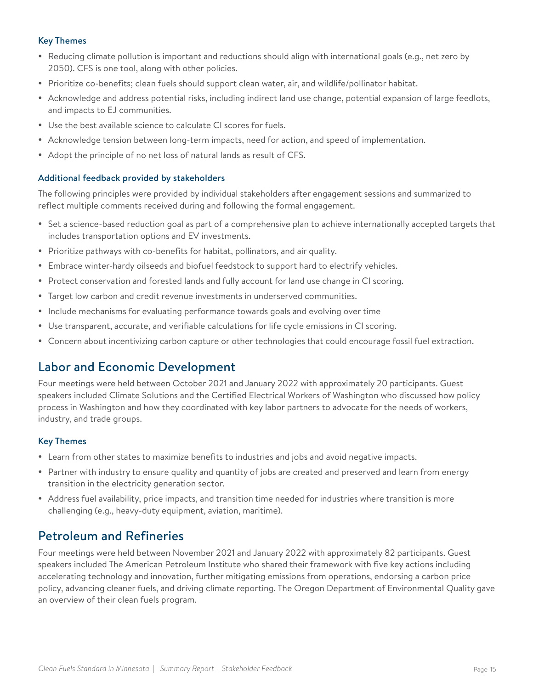#### <span id="page-14-0"></span>Key Themes

- Reducing climate pollution is important and reductions should align with international goals (e.g., net zero by 2050). CFS is one tool, along with other policies.
- Prioritize co-benefits; clean fuels should support clean water, air, and wildlife/pollinator habitat.
- Acknowledge and address potential risks, including indirect land use change, potential expansion of large feedlots, and impacts to EJ communities.
- Use the best available science to calculate CI scores for fuels.
- Acknowledge tension between long-term impacts, need for action, and speed of implementation.
- Adopt the principle of no net loss of natural lands as result of CFS.

#### Additional feedback provided by stakeholders

The following principles were provided by individual stakeholders after engagement sessions and summarized to reflect multiple comments received during and following the formal engagement.

- Set a science-based reduction goal as part of a comprehensive plan to achieve internationally accepted targets that includes transportation options and EV investments.
- Prioritize pathways with co-benefits for habitat, pollinators, and air quality.
- Embrace winter-hardy oilseeds and biofuel feedstock to support hard to electrify vehicles.
- Protect conservation and forested lands and fully account for land use change in CI scoring.
- Target low carbon and credit revenue investments in underserved communities.
- Include mechanisms for evaluating performance towards goals and evolving over time
- y Use transparent, accurate, and verifiable calculations for life cycle emissions in CI scoring.
- Concern about incentivizing carbon capture or other technologies that could encourage fossil fuel extraction.

## Labor and Economic Development

Four meetings were held between October 2021 and January 2022 with approximately 20 participants. Guest speakers included Climate Solutions and the Certified Electrical Workers of Washington who discussed how policy process in Washington and how they coordinated with key labor partners to advocate for the needs of workers, industry, and trade groups.

#### Key Themes

- Learn from other states to maximize benefits to industries and jobs and avoid negative impacts.
- Partner with industry to ensure quality and quantity of jobs are created and preserved and learn from energy transition in the electricity generation sector.
- Address fuel availability, price impacts, and transition time needed for industries where transition is more challenging (e.g., heavy-duty equipment, aviation, maritime).

### Petroleum and Refineries

Four meetings were held between November 2021 and January 2022 with approximately 82 participants. Guest speakers included The American Petroleum Institute who shared their framework with five key actions including accelerating technology and innovation, further mitigating emissions from operations, endorsing a carbon price policy, advancing cleaner fuels, and driving climate reporting. The Oregon Department of Environmental Quality gave an overview of their clean fuels program.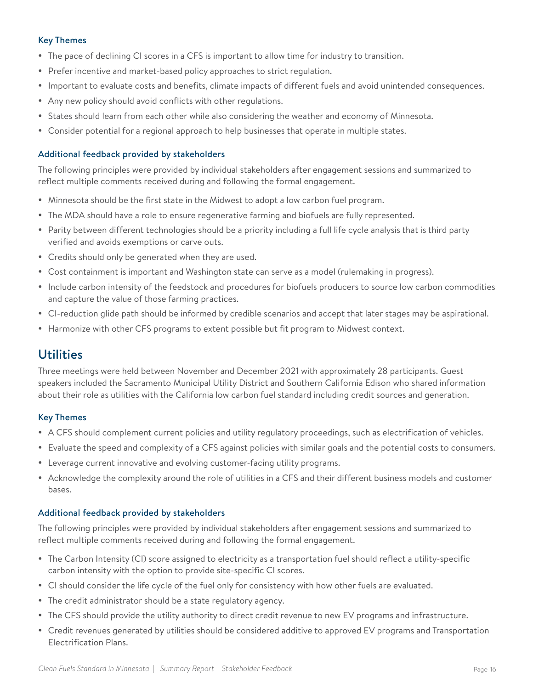### <span id="page-15-0"></span>Key Themes

- The pace of declining CI scores in a CFS is important to allow time for industry to transition.
- Prefer incentive and market-based policy approaches to strict regulation.
- Important to evaluate costs and benefits, climate impacts of different fuels and avoid unintended consequences.
- Any new policy should avoid conflicts with other regulations.
- States should learn from each other while also considering the weather and economy of Minnesota.
- Consider potential for a regional approach to help businesses that operate in multiple states.

#### Additional feedback provided by stakeholders

The following principles were provided by individual stakeholders after engagement sessions and summarized to reflect multiple comments received during and following the formal engagement.

- Minnesota should be the first state in the Midwest to adopt a low carbon fuel program.
- The MDA should have a role to ensure regenerative farming and biofuels are fully represented.
- Parity between different technologies should be a priority including a full life cycle analysis that is third party verified and avoids exemptions or carve outs.
- Credits should only be generated when they are used.
- Cost containment is important and Washington state can serve as a model (rulemaking in progress).
- Include carbon intensity of the feedstock and procedures for biofuels producers to source low carbon commodities and capture the value of those farming practices.
- CI-reduction glide path should be informed by credible scenarios and accept that later stages may be aspirational.
- Harmonize with other CFS programs to extent possible but fit program to Midwest context.

### **Utilities**

Three meetings were held between November and December 2021 with approximately 28 participants. Guest speakers included the Sacramento Municipal Utility District and Southern California Edison who shared information about their role as utilities with the California low carbon fuel standard including credit sources and generation.

#### Key Themes

- A CFS should complement current policies and utility regulatory proceedings, such as electrification of vehicles.
- Evaluate the speed and complexity of a CFS against policies with similar goals and the potential costs to consumers.
- Leverage current innovative and evolving customer-facing utility programs.
- Acknowledge the complexity around the role of utilities in a CFS and their different business models and customer bases.

#### Additional feedback provided by stakeholders

The following principles were provided by individual stakeholders after engagement sessions and summarized to reflect multiple comments received during and following the formal engagement.

- The Carbon Intensity (CI) score assigned to electricity as a transportation fuel should reflect a utility-specific carbon intensity with the option to provide site-specific CI scores.
- CI should consider the life cycle of the fuel only for consistency with how other fuels are evaluated.
- The credit administrator should be a state regulatory agency.
- The CFS should provide the utility authority to direct credit revenue to new EV programs and infrastructure.
- Credit revenues generated by utilities should be considered additive to approved EV programs and Transportation Electrification Plans.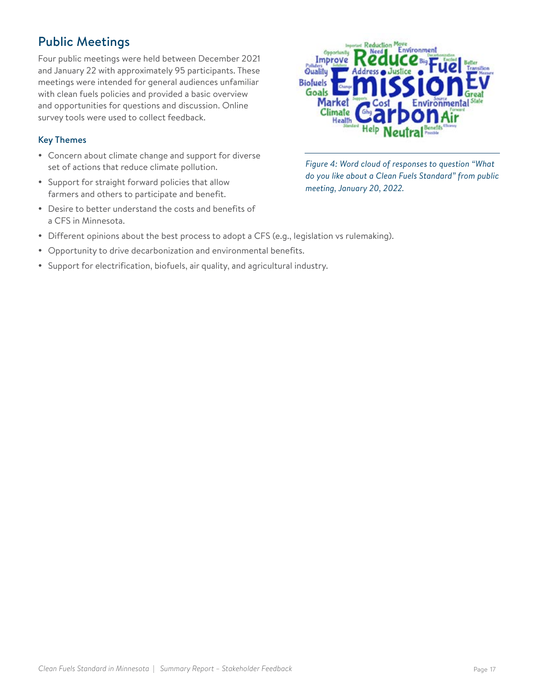## <span id="page-16-0"></span>Public Meetings

Four public meetings were held between December 2021 and January 22 with approximately 95 participants. These meetings were intended for general audiences unfamiliar with clean fuels policies and provided a basic overview and opportunities for questions and discussion. Online survey tools were used to collect feedback.

#### Key Themes

- Concern about climate change and support for diverse set of actions that reduce climate pollution.
- Support for straight forward policies that allow farmers and others to participate and benefit.
- Desire to better understand the costs and benefits of a CFS in Minnesota.



*Figure 4: Word cloud of responses to question "What do you like about a Clean Fuels Standard" from public meeting, January 20, 2022.*

- Different opinions about the best process to adopt a CFS (e.g., legislation vs rulemaking).
- Opportunity to drive decarbonization and environmental benefits.
- Support for electrification, biofuels, air quality, and agricultural industry.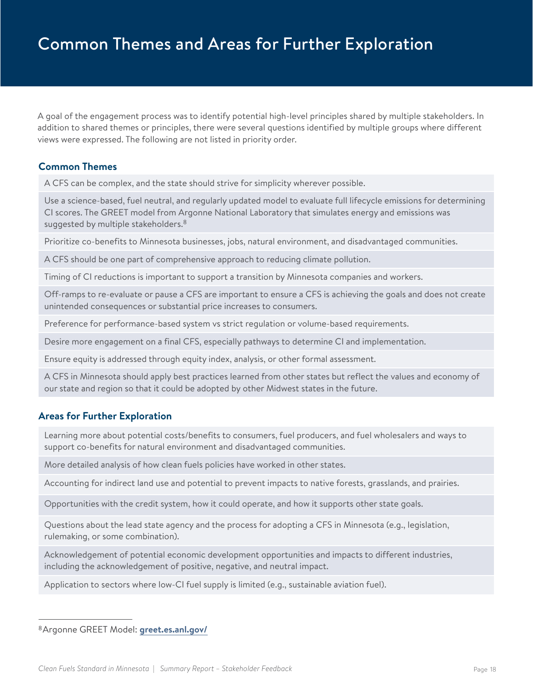<span id="page-17-0"></span>A goal of the engagement process was to identify potential high-level principles shared by multiple stakeholders. In addition to shared themes or principles, there were several questions identified by multiple groups where different views were expressed. The following are not listed in priority order.

#### **Common Themes**

A CFS can be complex, and the state should strive for simplicity wherever possible.

Use a science-based, fuel neutral, and regularly updated model to evaluate full lifecycle emissions for determining CI scores. The GREET model from Argonne National Laboratory that simulates energy and emissions was suggested by multiple stakeholders.<sup>8</sup>

Prioritize co-benefits to Minnesota businesses, jobs, natural environment, and disadvantaged communities.

A CFS should be one part of comprehensive approach to reducing climate pollution.

Timing of CI reductions is important to support a transition by Minnesota companies and workers.

Off-ramps to re-evaluate or pause a CFS are important to ensure a CFS is achieving the goals and does not create unintended consequences or substantial price increases to consumers.

Preference for performance-based system vs strict regulation or volume-based requirements.

Desire more engagement on a final CFS, especially pathways to determine CI and implementation.

Ensure equity is addressed through equity index, analysis, or other formal assessment.

A CFS in Minnesota should apply best practices learned from other states but reflect the values and economy of our state and region so that it could be adopted by other Midwest states in the future.

### **Areas for Further Exploration**

Learning more about potential costs/benefits to consumers, fuel producers, and fuel wholesalers and ways to support co-benefits for natural environment and disadvantaged communities.

More detailed analysis of how clean fuels policies have worked in other states.

Accounting for indirect land use and potential to prevent impacts to native forests, grasslands, and prairies.

Opportunities with the credit system, how it could operate, and how it supports other state goals.

Questions about the lead state agency and the process for adopting a CFS in Minnesota (e.g., legislation, rulemaking, or some combination).

Acknowledgement of potential economic development opportunities and impacts to different industries, including the acknowledgement of positive, negative, and neutral impact.

Application to sectors where low-CI fuel supply is limited (e.g., sustainable aviation fuel).

<sup>8</sup>Argonne GREET Model: **[greet.es.anl.gov/](http://greet.es.anl.gov/)**